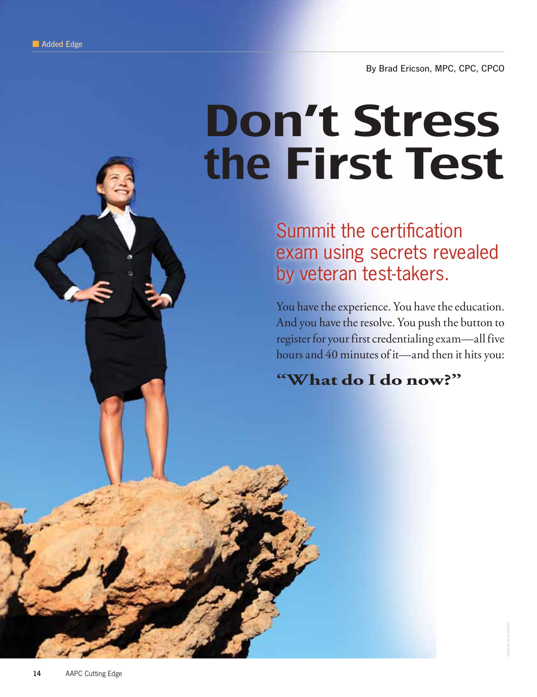By Brad Ericson, MPC, CPC, CPCO

# Don't Stress the First Test

Summit the certification exam using secrets revealed by veteran test-takers.

You have the experience. You have the education. And you have the resolve. You push the button to register for your first credentialing exam—all five hours and 40 minutes of it—and then it hits you:

**"What do I do now?"**

photo by iStockphoto © Maridav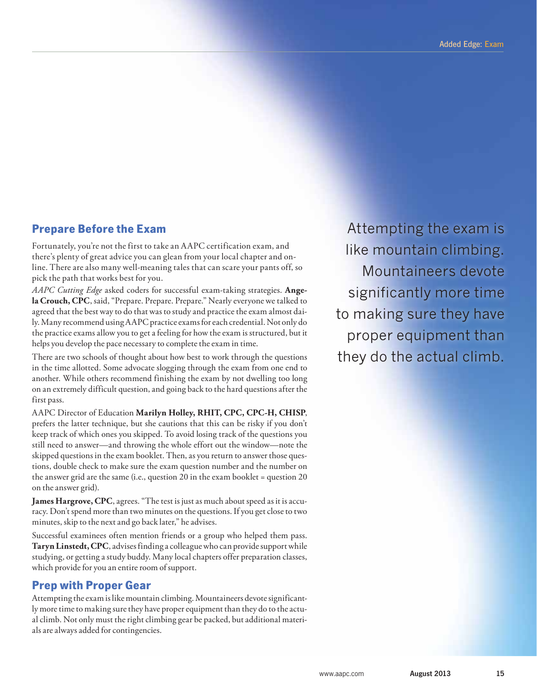## **Prepare Before the Exam**

Fortunately, you're not the first to take an AAPC certification exam, and there's plenty of great advice you can glean from your local chapter and online. There are also many well-meaning tales that can scare your pants off, so pick the path that works best for you.

*AAPC Cutting Edge* asked coders for successful exam-taking strategies. **Angela Crouch, CPC**, said, "Prepare. Prepare. Prepare." Nearly everyone we talked to agreed that the best way to do that was to study and practice the exam almost daily. Many recommend using AAPC practice exams for each credential. Not only do the practice exams allow you to get a feeling for how the exam is structured, but it helps you develop the pace necessary to complete the exam in time.

There are two schools of thought about how best to work through the questions in the time allotted. Some advocate slogging through the exam from one end to another. While others recommend finishing the exam by not dwelling too long on an extremely difficult question, and going back to the hard questions after the first pass.

AAPC Director of Education **Marilyn Holley, RHIT, CPC, CPC-H, CHISP**, prefers the latter technique, but she cautions that this can be risky if you don't keep track of which ones you skipped. To avoid losing track of the questions you still need to answer—and throwing the whole effort out the window—note the skipped questions in the exam booklet. Then, as you return to answer those questions, double check to make sure the exam question number and the number on the answer grid are the same (i.e., question 20 in the exam booklet = question 20 on the answer grid).

**James Hargrove, CPC**, agrees. "The test is just as much about speed as it is accuracy. Don't spend more than two minutes on the questions. If you get close to two minutes, skip to the next and go back later," he advises.

Successful examinees often mention friends or a group who helped them pass. **Taryn Linstedt, CPC**, advises finding a colleague who can provide support while studying, or getting a study buddy. Many local chapters offer preparation classes, which provide for you an entire room of support.

## **Prep with Proper Gear**

Attempting the exam is like mountain climbing. Mountaineers devote significantly more time to making sure they have proper equipment than they do to the actual climb. Not only must the right climbing gear be packed, but additional materials are always added for contingencies.

Attempting the exam is like mountain climbing. Mountaineers devote significantly more time to making sure they have proper equipment than they do the actual climb.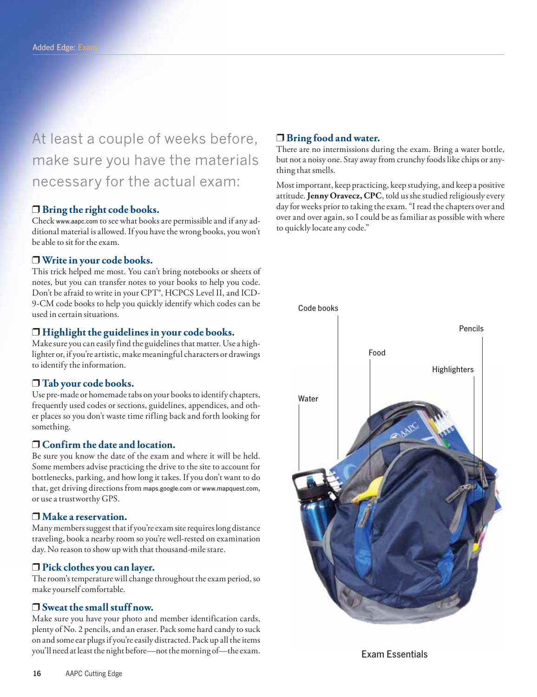At least a couple of weeks before, make sure you have the materials necessary for the actual exam:

#### ❒ **Bring the right code books.**

Check www.aapc.com to see what books are permissible and if any additional material is allowed. If you have the wrong books, you won't be able to sit for the exam.

#### ❒ **Write in your code books.**

This trick helped me most. You can't bring notebooks or sheets of notes, but you can transfer notes to your books to help you code. Don't be afraid to write in your CPT®, HCPCS Level II, and ICD-9-CM code books to help you quickly identify which codes can be used in certain situations.

#### ❒ **Highlight the guidelines in your code books.**

Make sure you can easily find the guidelines that matter. Use a highlighter or, if you're artistic, make meaningful characters or drawings to identify the information.

#### ❒ **Tab your code books.**

Use pre-made or homemade tabs on your books to identify chapters, frequently used codes or sections, guidelines, appendices, and other places so you don't waste time rifling back and forth looking for something.

#### ❒ **Confirm the date and location.**

Be sure you know the date of the exam and where it will be held. Some members advise practicing the drive to the site to account for bottlenecks, parking, and how long it takes. If you don't want to do that, get driving directions from maps.google.com or www.mapquest.com, or use a trustworthy GPS.

#### ❒ **Make a reservation.**

Many members suggest that if you're exam site requires long distance traveling, book a nearby room so you're well-rested on examination day. No reason to show up with that thousand-mile stare.

#### ❒ **Pick clothes you can layer.**

The room's temperature will change throughout the exam period, so make yourself comfortable.

#### ❒ **Sweat the small stuff now.**

Make sure you have your photo and member identification cards, plenty of No. 2 pencils, and an eraser. Pack some hard candy to suck on and some ear plugs if you're easily distracted. Pack up all the items you'll need at least the night before—not the morning of—the exam.

#### ❒ **Bring food and water.**

There are no intermissions during the exam. Bring a water bottle, but not a noisy one. Stay away from crunchy foods like chips or anything that smells.

Most important, keep practicing, keep studying, and keep a positive attitude. **Jenny Oravecz, CPC**, told us she studied religiously every day for weeks prior to taking the exam. "I read the chapters over and over and over again, so I could be as familiar as possible with where to quickly locate any code."



Exam Essentials